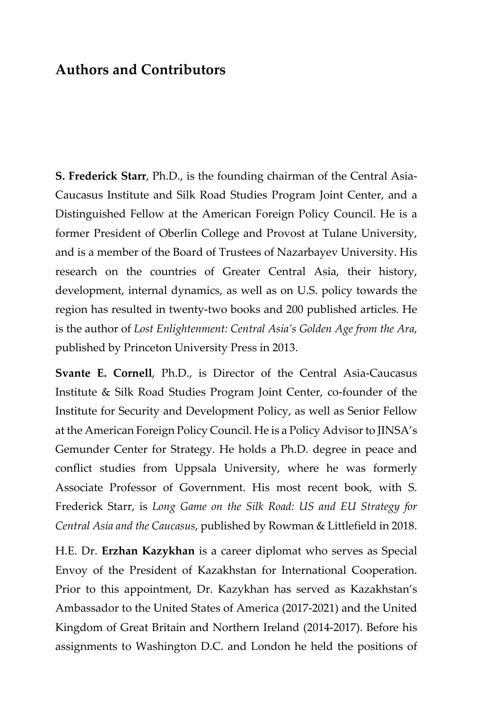## **Authors and Contributors**

**S. Frederick Starr**, Ph.D., is the founding chairman of the Central Asia-Caucasus Institute and Silk Road Studies Program Joint Center, and a Distinguished Fellow at the American Foreign Policy Council. He is a former President of Oberlin College and Provost at Tulane University, and is a member of the Board of Trustees of Nazarbayev University. His research on the countries of Greater Central Asia, their history, development, internal dynamics, as well as on U.S. policy towards the region has resulted in twenty-two books and 200 published articles. He is the author of *Lost Enlightenment: Central Asia's Golden Age from the Ara*, published by Princeton University Press in 2013.

**Svante E. Cornell**, Ph.D., is Director of the Central Asia-Caucasus Institute & Silk Road Studies Program Joint Center, co-founder of the Institute for Security and Development Policy, as well as Senior Fellow at the American Foreign Policy Council. He is a Policy Advisor to JINSA's Gemunder Center for Strategy. He holds a Ph.D. degree in peace and conflict studies from Uppsala University, where he was formerly Associate Professor of Government. His most recent book, with S. Frederick Starr, is *Long Game on the Silk Road: US and EU Strategy for Central Asia and the Caucasus*, published by Rowman & Littlefield in 2018.

H.E. Dr. **Erzhan Kazykhan** is a career diplomat who serves as Special Envoy of the President of Kazakhstan for International Cooperation. Prior to this appointment, Dr. Kazykhan has served as Kazakhstan's Ambassador to the United States of America (2017-2021) and the United Kingdom of Great Britain and Northern Ireland (2014-2017). Before his assignments to Washington D.C. and London he held the positions of